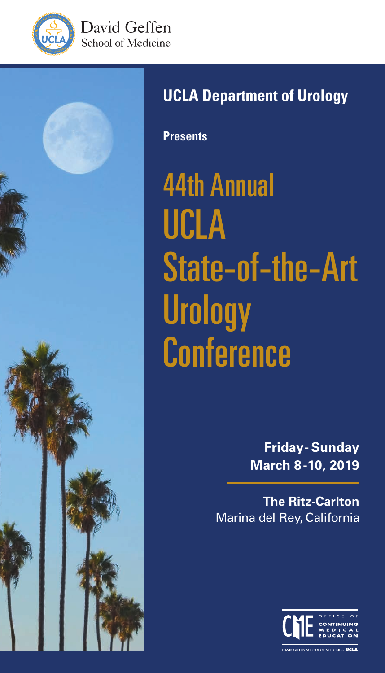





# **UCLA Department of Urology**

**Presents**

44th Annual UCLA State-of-the-Art **Urology Conference** 

> **Friday- Sunday March 8-10, 2019**

**The Ritz-Carlton** Marina del Rey, California

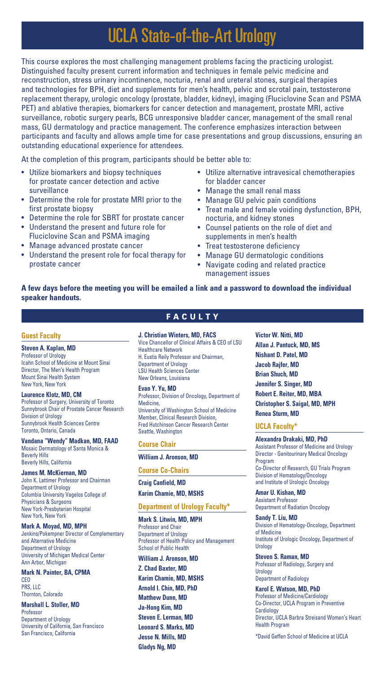# UCLA State-of-the-Art Urology

This course explores the most challenging management problems facing the practicing urologist. Distinguished faculty present current information and techniques in female pelvic medicine and reconstruction, stress urinary incontinence, nocturia, renal and ureteral stones, surgical therapies and technologies for BPH, diet and supplements for men's health, pelvic and scrotal pain, testosterone replacement therapy, urologic oncology (prostate, bladder, kidney), imaging (Fluciclovine Scan and PSMA PET) and ablative therapies, biomarkers for cancer detection and management, prostate MRI, active surveillance, robotic surgery pearls, BCG unresponsive bladder cancer, management of the small renal mass, GU dermatology and practice management. The conference emphasizes interaction between participants and faculty and allows ample time for case presentations and group discussions, ensuring an outstanding educational experience for attendees.

At the completion of this program, participants should be better able to:

- Utilize biomarkers and biopsy techniques for prostate cancer detection and active surveillance
- Determine the role for prostate MRI prior to the first prostate biopsy
- Determine the role for SBRT for prostate cancer
- Understand the present and future role for Fluciclovine Scan and PSMA imaging
- Manage advanced prostate cancer
- Understand the present role for focal therapy for prostate cancer
- Utilize alternative intravesical chemotherapies for bladder cancer
- Manage the small renal mass
- Manage GU pelvic pain conditions
- Treat male and female voiding dysfunction, BPH, nocturia, and kidney stones
- Counsel patients on the role of diet and supplements in men's health
- Treat testosterone deficiency
- Manage GU dermatologic conditions
- Navigate coding and related practice management issues

# **A few days before the meeting you will be emailed a link and a password to download the individual speaker handouts.**

#### **Guest Faculty**

#### **Steven A. Kaplan, MD**

Professor of Urology Icahn School of Medicine at Mount Sinai Director, The Men's Health Program Mount Sinai Health System New York, New York

#### **Laurence Klotz, MD, CM**

Professor of Surgery, University of Toronto Sunnybrook Chair of Prostate Cancer Research Division of Urology Sunnybrook Health Sciences Centre Toronto, Ontario, Canada

#### **Vandana "Wendy" Madkan, MD, FAAD** Mosaic Dermatology of Santa Monica & Beverly Hills

Beverly Hills, California

#### **James M. McKiernan, MD**

John K. Lattimer Professor and Chairman Department of Urology Columbia University Vagelos College of Physicians & Surgeons New York-Presbyterian Hospital New York, New York

#### **Mark A. Moyad, MD, MPH**

Jenkins/Pokempner Director of Complementary and Alternative Medicine Department of Urology University of Michigan Medical Center Ann Arbor, Michigan

#### **Mark N. Painter, BA, CPMA**

CEO PRS, LLC Thornton, Colorado

# **Marshall L. Stoller, MD**

Professor Department of Urology University of California, San Francisco San Francisco, California

# **FACULTY**

## **J. Christian Winters, MD, FACS**

Vice Chancellor of Clinical Affairs & CEO of LSU Healthcare Network H. Eustis Reily Professor and Chairman, Department of Urology LSU Health Sciences Center New Orleans, Louisiana

#### **Evan Y. Yu, MD**

Professor, Division of Oncology, Department of Medicine, University of Washington School of Medicine Member, Clinical Research Division, Fred Hutchinson Cancer Research Center Seattle, Washington

#### **Course Chair**

#### **William J. Aronson, MD**

**Course Co-Chairs**

#### **Craig Canfield, MD**

#### **Karim Chamie, MD, MSHS**

#### **Department of Urology Faculty\***

**Mark S. Litwin, MD, MPH** Professor and Chair Department of Urology Professor of Health Policy and Management School of Public Health

# **William J. Aronson, MD**

**Z. Chad Baxter, MD Karim Chamie, MD, MSHS Arnold I. Chin, MD, PhD Matthew Dunn, MD Ja-Hong Kim, MD Steven E. Lerman, MD Leonard S. Marks, MD Jesse N. Mills, MD Gladys Ng, MD**

**Victor W. Nitti, MD Allan J. Pantuck, MD, MS Nishant D. Patel, MD Jacob Rajfer, MD Brian Shuch, MD Jennifer S. Singer, MD Robert E. Reiter, MD, MBA Christopher S. Saigal, MD, MPH Renea Sturm, MD**

#### **UCLA Faculty\***

**Alexandra Drakaki, MD, PhD**  Assistant Professor of Medicine and Urology Director - Genitourinary Medical Oncology Program Co-Director of Research, GU Trials Program Division of Hematology/Oncology and Institute of Urologic Oncology

**Amar U. Kishan, MD** Assistant Professor Department of Radiation Oncology

**Sandy T. Liu, MD** Division of Hematology-Oncology, Department of Medicine Institute of Urologic Oncology, Department of Urology

**Steven S. Raman, MD** Professor of Radiology, Surgery and Urology Department of Radiology

**Karol E. Watson, MD, PhD** Professor of Medicine/Cardiology Co-Director, UCLA Program in Preventive **Cardiology** Director, UCLA Barbra Streisand Women's Heart Health Program

\*David Geffen School of Medicine at UCLA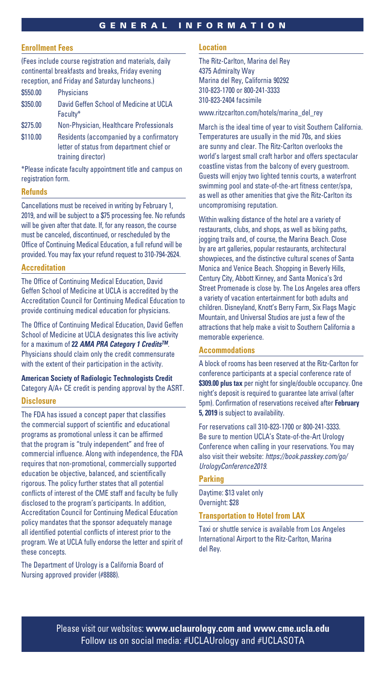# GENERAL INFORMATION

# **Enrollment Fees**

(Fees include course registration and materials, daily continental breakfasts and breaks, Friday evening reception, and Friday and Saturday luncheons.)

| \$550.00 | <b>Physicians</b>                                   |
|----------|-----------------------------------------------------|
| \$350.00 | David Geffen School of Medicine at UCLA<br>Faculty* |
| \$275.00 | Non-Physician, Healthcare Professionals             |
| \$110.00 | Residents (accompanied by a confirmatory            |

letter of status from department chief or training director)

\*Please indicate faculty appointment title and campus on registration form.

# **Refunds**

Cancellations must be received in writing by February 1, 2019, and will be subject to a \$75 processing fee. No refunds will be given after that date. If, for any reason, the course must be canceled, discontinued, or rescheduled by the Office of Continuing Medical Education, a full refund will be provided. You may fax your refund request to 310-794-2624.

# **Accreditation**

The Office of Continuing Medical Education, David Geffen School of Medicine at UCLA is accredited by the Accreditation Council for Continuing Medical Education to provide continuing medical education for physicians.

The Office of Continuing Medical Education, David Geffen School of Medicine at UCLA designates this live activity for a maximum of **22** *AMA PRA Category 1 CreditsTM*. Physicians should claim only the credit commensurate with the extent of their participation in the activity.

# **American Society of Radiologic Technologists Credit** Category A/A+ CE credit is pending approval by the ASRT.

### **Disclosure**

The FDA has issued a concept paper that classifies the commercial support of scientific and educational programs as promotional unless it can be affirmed that the program is "truly independent" and free of commercial influence. Along with independence, the FDA requires that non-promotional, commercially supported education be objective, balanced, and scientifically rigorous. The policy further states that all potential conflicts of interest of the CME staff and faculty be fully disclosed to the program's participants. In addition, Accreditation Council for Continuing Medical Education policy mandates that the sponsor adequately manage all identified potential conflicts of interest prior to the program. We at UCLA fully endorse the letter and spirit of these concepts.

The Department of Urology is a California Board of Nursing approved provider (#8888).

#### **Location**

The Ritz-Carlton, Marina del Rey 4375 Admiralty Way Marina del Rey, California 90292 310-823-1700 or 800-241-3333 310-823-2404 facsimile

www.ritzcarlton.com/hotels/marina\_del\_rey

March is the ideal time of year to visit Southern California. Temperatures are usually in the mid 70s, and skies are sunny and clear. The Ritz-Carlton overlooks the world's largest small craft harbor and offers spectacular coastline vistas from the balcony of every guestroom. Guests will enjoy two lighted tennis courts, a waterfront swimming pool and state-of-the-art fitness center/spa, as well as other amenities that give the Ritz-Carlton its uncompromising reputation.

Within walking distance of the hotel are a variety of restaurants, clubs, and shops, as well as biking paths, jogging trails and, of course, the Marina Beach. Close by are art galleries, popular restaurants, architectural showpieces, and the distinctive cultural scenes of Santa Monica and Venice Beach. Shopping in Beverly Hills, Century City, Abbott Kinney, and Santa Monica's 3rd Street Promenade is close by. The Los Angeles area offers a variety of vacation entertainment for both adults and children. Disneyland, Knott's Berry Farm, Six Flags Magic Mountain, and Universal Studios are just a few of the attractions that help make a visit to Southern California a memorable experience.

# **Accommodations**

A block of rooms has been reserved at the Ritz-Carlton for conference participants at a special conference rate of **\$309.00 plus tax** per night for single/double occupancy. One night's deposit is required to guarantee late arrival (after 5pm). Confirmation of reservations received after **February 5, 2019** is subject to availability.

For reservations call 310-823-1700 or 800-241-3333. Be sure to mention UCLA's State-of-the-Art Urology Conference when calling in your reservations. You may also visit their website: *https://book.passkey.com/go/ UrologyConference2019*.

#### **Parking**

Daytime: \$13 valet only Overnight: \$28

# **Transportation to Hotel from LAX**

Taxi or shuttle service is available from Los Angeles International Airport to the Ritz-Carlton, Marina del Rey.

Please visit our websites: **www.uclaurology.com and www.cme.ucla.edu** Follow us on social media: #UCLAUrology and #UCLASOTA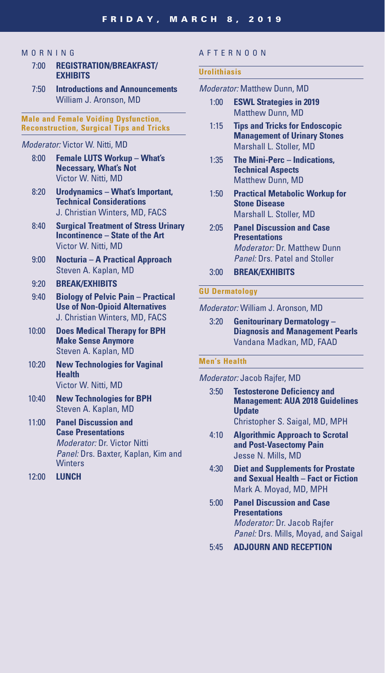# **MORNING**

- 7:00 **REGISTRATION/BREAKFAST/ EXHIBITS**
- 7:50 **Introductions and Announcements** William J. Aronson, MD

# **Male and Female Voiding Dysfunction, Reconstruction, Surgical Tips and Tricks**

# *Moderator:* Victor W. Nitti, MD

- 8:00 **Female LUTS Workup What's Necessary, What's Not** Victor W. Nitti, MD
- 8:20 **Urodynamics What's Important, Technical Considerations** J. Christian Winters, MD, FACS
- 8:40 **Surgical Treatment of Stress Urinary Incontinence – State of the Art** Victor W. Nitti, MD
- 9:00 **Nocturia A Practical Approach** Steven A. Kaplan, MD

# 9:20 **BREAK/EXHIBITS**

- 9:40 **Biology of Pelvic Pain Practical Use of Non-Opioid Alternatives** J. Christian Winters, MD, FACS
- 10:00 **Does Medical Therapy for BPH Make Sense Anymore** Steven A. Kaplan, MD
- 10:20 **New Technologies for Vaginal Health** Victor W. Nitti, MD
- 10:40 **New Technologies for BPH** Steven A. Kaplan, MD
- 11:00 **Panel Discussion and Case Presentations** *Moderator:* Dr. Victor Nitti *Panel:* Drs. Baxter, Kaplan, Kim and **Winters**
- 12:00 **LUNCH**

# AFTERNOON

#### **Urolithiasis**

# *Moderator:* Matthew Dunn, MD

- 1:00 **ESWL Strategies in 2019** Matthew Dunn, MD
- 1:15 **Tips and Tricks for Endoscopic Management of Urinary Stones** Marshall L. Stoller, MD
- 1:35 **The Mini-Perc Indications, Technical Aspects** Matthew Dunn, MD
- 1:50 **Practical Metabolic Workup for Stone Disease** Marshall L. Stoller, MD
- 2:05 **Panel Discussion and Case Presentations** *Moderator:* Dr. Matthew Dunn *Panel:* Drs. Patel and Stoller
- 3:00 **BREAK/EXHIBITS**

#### **GU Dermatology**

*Moderator:* William J. Aronson, MD

3:20 **Genitourinary Dermatology – Diagnosis and Management Pearls** Vandana Madkan, MD, FAAD

# **Men's Health**

## *Moderator:* Jacob Rajfer, MD

- 3:50 **Testosterone Deficiency and Management: AUA 2018 Guidelines Update** Christopher S. Saigal, MD, MPH
- 4:10 **Algorithmic Approach to Scrotal and Post-Vasectomy Pain** Jesse N. Mills, MD
- 4:30 **Diet and Supplements for Prostate and Sexual Health – Fact or Fiction** Mark A. Moyad, MD, MPH
- 5:00 **Panel Discussion and Case Presentations** *Moderator:* Dr. Jacob Rajfer *Panel:* Drs. Mills, Moyad, and Saigal
- 5:45 **ADJOURN AND RECEPTION**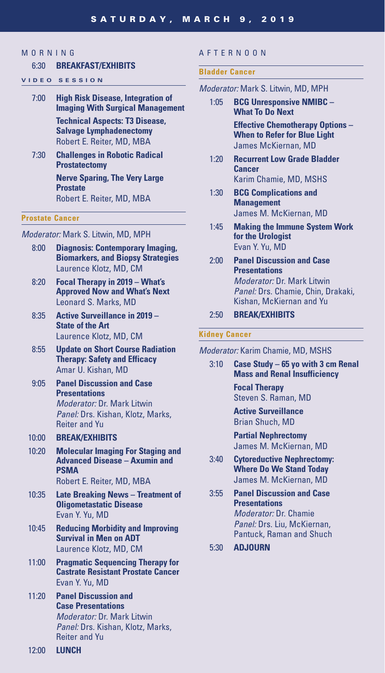# **MORNING**

### 6:30 **BREAKFAST/EXHIBITS**

- **VIDEO SESSION**
	- 7:00 **High Risk Disease, Integration of Imaging With Surgical Management Technical Aspects: T3 Disease, Salvage Lymphadenectomy** Robert E. Reiter, MD, MBA
	- 7:30 **Challenges in Robotic Radical Prostatectomy**

 **Nerve Sparing, The Very Large Prostate** Robert E. Reiter, MD, MBA

#### **Prostate Cancer**

*Moderator:* Mark S. Litwin, MD, MPH

- 8:00 **Diagnosis: Contemporary Imaging, Biomarkers, and Biopsy Strategies** Laurence Klotz, MD, CM
- 8:20 **Focal Therapy in 2019 What's Approved Now and What's Next** Leonard S. Marks, MD
- 8:35 **Active Surveillance in 2019 State of the Art** Laurence Klotz, MD, CM
- 8:55 **Update on Short Course Radiation Therapy: Safety and Efficacy** Amar U. Kishan, MD
- 9:05 **Panel Discussion and Case Presentations**  *Moderator:* Dr. Mark Litwin *Panel:* Drs. Kishan, Klotz, Marks, Reiter and Yu
- 10:00 **BREAK/EXHIBITS**
- 10:20 **Molecular Imaging For Staging and Advanced Disease – Axumin and PSMA** Robert E. Reiter, MD, MBA
- 10:35 **Late Breaking News Treatment of Oligometastatic Disease** Evan Y. Yu, MD
- 10:45 **Reducing Morbidity and Improving Survival in Men on ADT** Laurence Klotz, MD, CM
- 11:00 **Pragmatic Sequencing Therapy for Castrate Resistant Prostate Cancer**  Evan Y. Yu, MD
- 11:20 **Panel Discussion and Case Presentations**  *Moderator:* Dr. Mark Litwin *Panel:* Drs. Kishan, Klotz, Marks, Reiter and Yu

# AFTERNOON

#### **Bladder Cancer**

- *Moderator:* Mark S. Litwin, MD, MPH
	- 1:05 **BCG Unresponsive NMIBC What To Do Next Effective Chemotherapy Options – When to Refer for Blue Light** James McKiernan, MD
	- 1:20 **Recurrent Low Grade Bladder Cancer** Karim Chamie, MD, MSHS
	- 1:30 **BCG Complications and Management** James M. McKiernan, MD
	- 1:45 **Making the Immune System Work for the Urologist**  Evan Y. Yu, MD
	- 2:00 **Panel Discussion and Case Presentations** *Moderator:* Dr. Mark Litwin *Panel:* Drs. Chamie, Chin, Drakaki, Kishan, McKiernan and Yu
	- 2:50 **BREAK/EXHIBITS**

## **Kidney Cancer**

*Moderator:* Karim Chamie, MD, MSHS

3:10 **Case Study – 65 yo with 3 cm Renal Mass and Renal Insufficiency**

> **Focal Therapy** Steven S. Raman, MD

 **Active Surveillance** Brian Shuch, MD

 **Partial Nephrectomy** James M. McKiernan, MD

- 3:40 **Cytoreductive Nephrectomy: Where Do We Stand Today** James M. McKiernan, MD
- 3:55 **Panel Discussion and Case Presentations** *Moderator:* Dr. Chamie *Panel:* Drs. Liu, McKiernan, Pantuck, Raman and Shuch
- 5:30 **ADJOURN**

12:00 **LUNCH**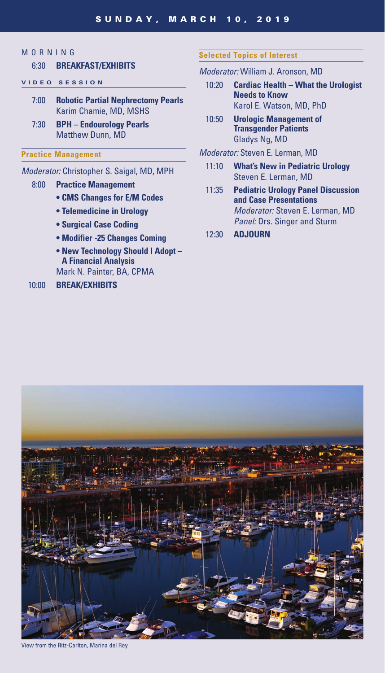# **MORNING**

# 6:30 **BREAKFAST/EXHIBITS**

# **VIDEO SESSION**

- 7:00 **Robotic Partial Nephrectomy Pearls** Karim Chamie, MD, MSHS
- 7:30 **BPH Endourology Pearls** Matthew Dunn, MD

# **Practice Management**

# *Moderator:* Christopher S. Saigal, MD, MPH

- 8:00 **Practice Management**
	- **CMS Changes for E/M Codes**
	- **Telemedicine in Urology**
	- **Surgical Case Coding**
	- **Modifier -25 Changes Coming**
	- **New Technology Should I Adopt A Financial Analysis** Mark N. Painter, BA, CPMA

# 10:00 **BREAK/EXHIBITS**

# **Selected Topics of Interest**

# *Moderator:* William J. Aronson, MD

- 10:20 **Cardiac Health What the Urologist Needs to Know** Karol E. Watson, MD, PhD
- 10:50 **Urologic Management of Transgender Patients** Gladys Ng, MD

# *Moderator:* Steven E. Lerman, MD

- 11:10 **What's New in Pediatric Urology** Steven E. Lerman, MD
- 11:35 **Pediatric Urology Panel Discussion and Case Presentations** *Moderator:* Steven E. Lerman, MD *Panel:* Drs. Singer and Sturm
- 12:30 **ADJOURN**



View from the Ritz-Carlton, Marina del Rey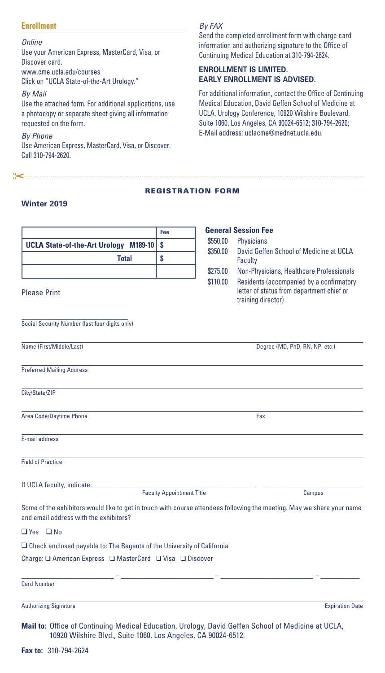# **Enrollment**

*Online*

Use your American Express, MasterCard, Visa, or Discover card. www.cme.ucla.edu/courses Click on "UCLA State-of-the-Art Urology."

*By Mail*

Use the attached form. For additional applications, use a photocopy or separate sheet giving all information requested on the form.

*By Phone* Use American Express, MasterCard, Visa, or Discover. Call 310-794-2620.

<u> 2</u>

# *By FAX*

Send the completed enrollment form with charge card information and authorizing signature to the Office of Continuing Medical Education at 310-794-2624.

# **ENROLLMENT IS LIMITED. EARLY ENROLLMENT IS ADVISED.**

For additional information, contact the Office of Continuing Medical Education, David Geffen School of Medicine at UCLA, Urology Conference, 10920 Wilshire Boulevard, Suite 1060, Los Angeles, CA 90024-6512; 310-794-2620; E-Mail address: uclacme@mednet.ucla.edu.

# REGISTRATION FORM

# **Winter 2019**

|                                                                                                                                                                     | Fee                              |          | <b>General Session Fee</b>                                                                                  |
|---------------------------------------------------------------------------------------------------------------------------------------------------------------------|----------------------------------|----------|-------------------------------------------------------------------------------------------------------------|
| <b>UCLA State-of-the-Art Urology M189-10</b>                                                                                                                        | \$                               | \$550.00 | <b>Physicians</b>                                                                                           |
| <b>Total</b>                                                                                                                                                        | \$                               | \$350.00 | David Geffen School of Medicine at UCLA<br>Faculty                                                          |
|                                                                                                                                                                     |                                  | \$275.00 | Non-Physicians, Healthcare Professionals                                                                    |
| <b>Please Print</b>                                                                                                                                                 |                                  | \$110.00 | Residents (accompanied by a confirmatory<br>letter of status from department chief or<br>training director) |
| Social Security Number (last four digits only)                                                                                                                      |                                  |          |                                                                                                             |
| Name (First/Middle/Last)                                                                                                                                            |                                  |          | Degree (MD, PhD, RN, NP, etc.)                                                                              |
| <b>Preferred Mailing Address</b>                                                                                                                                    |                                  |          |                                                                                                             |
| City/State/ZIP                                                                                                                                                      |                                  |          |                                                                                                             |
| Area Code/Daytime Phone                                                                                                                                             |                                  |          | Fax                                                                                                         |
| E-mail address                                                                                                                                                      |                                  |          |                                                                                                             |
| <b>Field of Practice</b>                                                                                                                                            |                                  |          |                                                                                                             |
| If UCLA faculty, indicate:                                                                                                                                          | <b>Faculty Appointment Title</b> |          | Campus                                                                                                      |
| Some of the exhibitors would like to get in touch with course attendees following the meeting. May we share your name<br>and email address with the exhibitors?     |                                  |          |                                                                                                             |
| $\Box$ Yes $\Box$ No                                                                                                                                                |                                  |          |                                                                                                             |
| $\Box$ Check enclosed payable to: The Regents of the University of California                                                                                       |                                  |          |                                                                                                             |
|                                                                                                                                                                     |                                  |          |                                                                                                             |
| <b>Card Number</b>                                                                                                                                                  |                                  |          |                                                                                                             |
| <b>Authorizing Signature</b>                                                                                                                                        |                                  |          | <b>Expiration Date</b>                                                                                      |
| Mail to: Office of Continuing Medical Education, Urology, David Geffen School of Medicine at UCLA,<br>10920 Wilshire Blvd., Suite 1060, Los Angeles, CA 90024-6512. |                                  |          |                                                                                                             |